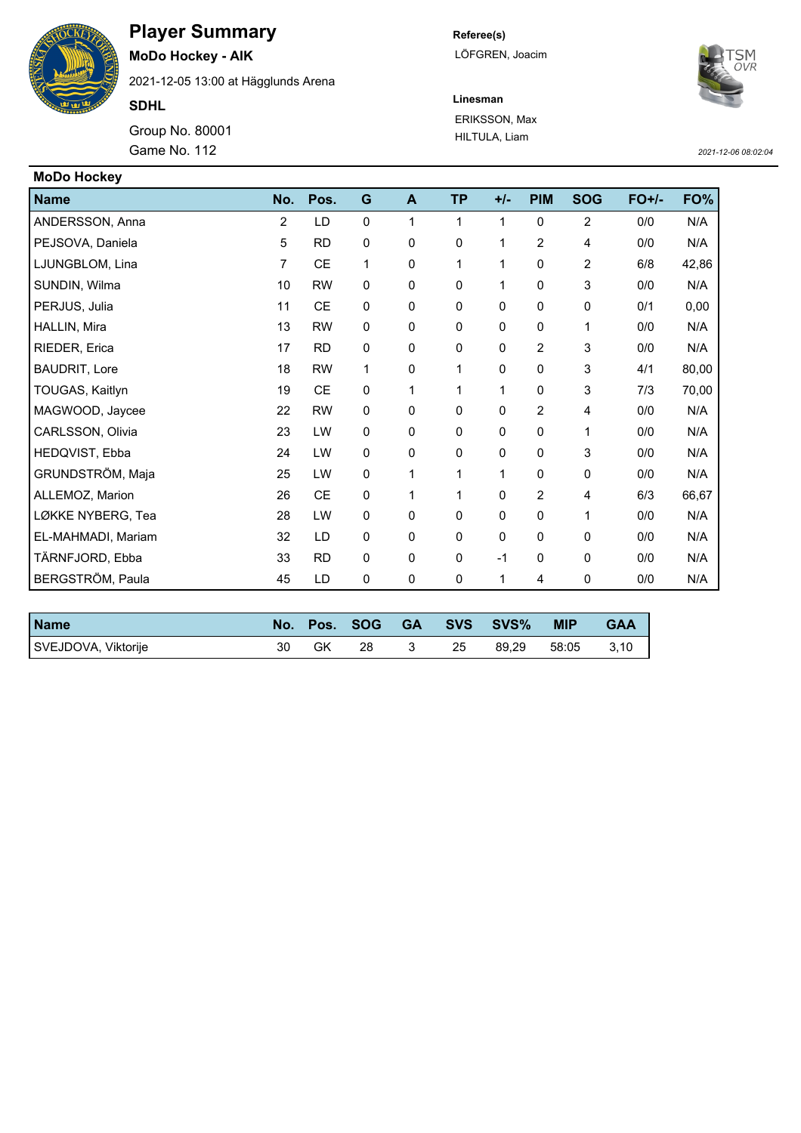

**MoDo Hockey - AIK** 2021-12-05 13:00 at Hägglunds Arena

**SDHL**

Group No. 80001 Game No. 112 *2021-12-06 08:02:04*

**Referee(s)** LÖFGREN, Joacim

ERIKSSON, Max HILTULA, Liam

**Linesman**



| <b>MoDo Hockey</b>   |                |           |             |             |           |             |                |                |         |       |
|----------------------|----------------|-----------|-------------|-------------|-----------|-------------|----------------|----------------|---------|-------|
| Name                 | No.            | Pos.      | G           | A           | <b>TP</b> | $+/-$       | <b>PIM</b>     | <b>SOG</b>     | $FO+/-$ | FO%   |
| ANDERSSON, Anna      | $\overline{2}$ | LD        | $\mathbf 0$ | 1           | 1         | 1           | 0              | $\overline{c}$ | 0/0     | N/A   |
| PEJSOVA, Daniela     | 5              | <b>RD</b> | 0           | 0           | 0         | 1           | 2              | 4              | 0/0     | N/A   |
| LJUNGBLOM, Lina      | 7              | <b>CE</b> | 1           | 0           | 1         | 1           | 0              | 2              | 6/8     | 42,86 |
| SUNDIN, Wilma        | 10             | <b>RW</b> | $\mathbf 0$ | 0           | 0         | 1           | 0              | 3              | 0/0     | N/A   |
| PERJUS, Julia        | 11             | <b>CE</b> | 0           | 0           | 0         | $\mathbf 0$ | 0              | 0              | 0/1     | 0,00  |
| HALLIN, Mira         | 13             | <b>RW</b> | $\mathbf 0$ | 0           | 0         | 0           | 0              | 1              | 0/0     | N/A   |
| RIEDER, Erica        | 17             | <b>RD</b> | 0           | $\Omega$    | $\Omega$  | $\Omega$    | 2              | 3              | 0/0     | N/A   |
| <b>BAUDRIT, Lore</b> | 18             | <b>RW</b> | 1           | $\mathbf 0$ | 1         | $\mathbf 0$ | $\mathbf 0$    | 3              | 4/1     | 80,00 |
| TOUGAS, Kaitlyn      | 19             | CE        | $\mathbf 0$ | 1           | 1         | 1           | 0              | 3              | 7/3     | 70,00 |
| MAGWOOD, Jaycee      | 22             | <b>RW</b> | $\mathbf 0$ | $\mathbf 0$ | 0         | $\mathbf 0$ | $\overline{c}$ | 4              | 0/0     | N/A   |
| CARLSSON, Olivia     | 23             | LW        | $\mathbf 0$ | 0           | 0         | 0           | 0              | 1              | 0/0     | N/A   |
| HEDQVIST, Ebba       | 24             | LW        | 0           | 0           | 0         | $\Omega$    | 0              | 3              | 0/0     | N/A   |
| GRUNDSTRÖM, Maja     | 25             | LW        | 0           | 1           | 1         | 1           | 0              | 0              | 0/0     | N/A   |
| ALLEMOZ, Marion      | 26             | CE        | $\mathbf 0$ | 1           | 1         | 0           | 2              | 4              | 6/3     | 66,67 |
| LØKKE NYBERG, Tea    | 28             | LW        | 0           | 0           | 0         | $\mathbf 0$ | 0              | 1              | 0/0     | N/A   |
| EL-MAHMADI, Mariam   | 32             | LD        | $\pmb{0}$   | 0           | 0         | 0           | 0              | 0              | 0/0     | N/A   |
| TÄRNFJORD, Ebba      | 33             | <b>RD</b> | $\mathbf 0$ | 0           | 0         | $-1$        | 0              | $\mathbf 0$    | 0/0     | N/A   |
| BERGSTRÖM, Paula     | 45             | LD        | $\pmb{0}$   | 0           | 0         | 1           | 4              | 0              | 0/0     | N/A   |

| <b>Name</b>         | No. | Pos. | <b>SOG</b> | <b>GA</b> |    | SVS SVS% | <b>MIP</b> | <b>GAA</b> |
|---------------------|-----|------|------------|-----------|----|----------|------------|------------|
| SVEJDOVA, Viktorije | 30  | GK   | 28         |           | 25 | 89.29    | 58:05      | 3,10       |